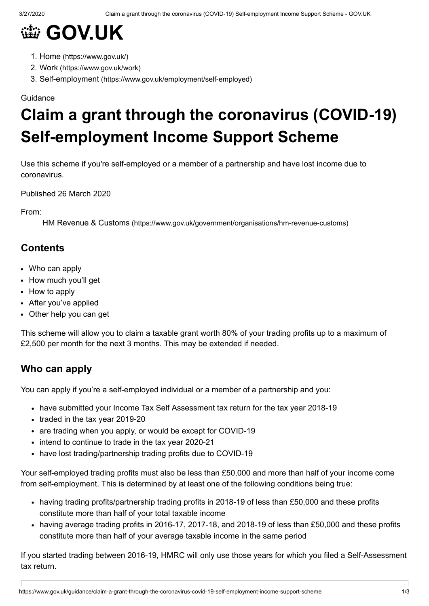

- 1. Home [\(https://www.gov.uk/\)](https://www.gov.uk/)
- 2. Work [\(https://www.gov.uk/work\)](https://www.gov.uk/work)
- 3. Self-employment [\(https://www.gov.uk/employment/self-employed\)](https://www.gov.uk/employment/self-employed)

#### **Guidance**

# **Claim a grant through the coronavirus (COVID-19) Self-employment Income Support Scheme**

Use this scheme if you're self-employed or a member of a partnership and have lost income due to coronavirus.

Published 26 March 2020

From:

HM Revenue & Customs [\(https://www.gov.uk/government/organisations/hm-revenue-customs\)](https://www.gov.uk/government/organisations/hm-revenue-customs)

### **Contents**

- Who can [apply](#page-0-0)
- How [much](#page-1-0) you'll get
- How to [apply](#page-1-1)
- After you've [applied](#page-1-2)
- [Other](#page-1-3) help you can get

This scheme will allow you to claim a taxable grant worth 80% of your trading profits up to a maximum of £2,500 per month for the next 3 months. This may be extended if needed.

# <span id="page-0-0"></span>**Who can apply**

You can apply if you're a self-employed individual or a member of a partnership and you:

- have submitted your Income Tax Self Assessment tax return for the tax year 2018-19
- traded in the tax year 2019-20
- are trading when you apply, or would be except for COVID-19
- intend to continue to trade in the tax year 2020-21
- have lost trading/partnership trading profits due to COVID-19

Your self-employed trading profits must also be less than £50,000 and more than half of your income come from self-employment. This is determined by at least one of the following conditions being true:

- having trading profits/partnership trading profits in 2018-19 of less than £50,000 and these profits constitute more than half of your total taxable income
- having average trading profits in 2016-17, 2017-18, and 2018-19 of less than £50,000 and these profits constitute more than half of your average taxable income in the same period

If you started trading between 2016-19, HMRC will only use those years for which you filed a Self-Assessment tax return.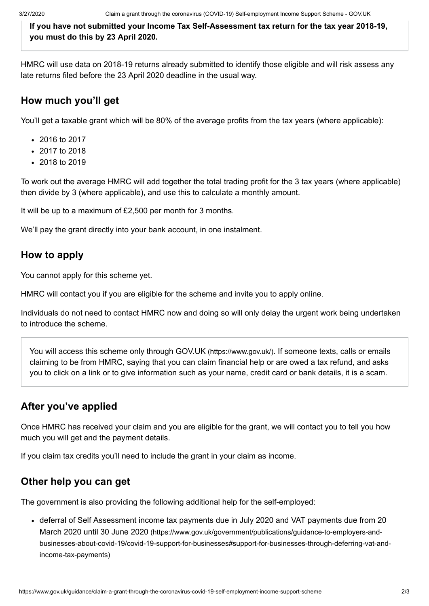**If you have not submitted your Income Tax Self-Assessment tax return for the tax year 2018-19, you must do this by 23 April 2020.**

HMRC will use data on 2018-19 returns already submitted to identify those eligible and will risk assess any late returns filed before the 23 April 2020 deadline in the usual way.

# <span id="page-1-0"></span>**How much you'll get**

You'll get a taxable grant which will be 80% of the average profits from the tax years (where applicable):

- 2016 to 2017
- 2017 to 2018
- 2018 to 2019

To work out the average HMRC will add together the total trading profit for the 3 tax years (where applicable) then divide by 3 (where applicable), and use this to calculate a monthly amount.

It will be up to a maximum of £2,500 per month for 3 months.

We'll pay the grant directly into your bank account, in one instalment.

# <span id="page-1-1"></span>**How to apply**

You cannot apply for this scheme yet.

HMRC will contact you if you are eligible for the scheme and invite you to apply online.

Individuals do not need to contact HMRC now and doing so will only delay the urgent work being undertaken to introduce the scheme.

You will access this scheme only through GOV.UK [\(https://www.gov.uk/\)](https://www.gov.uk/). If someone texts, calls or emails claiming to be from HMRC, saying that you can claim financial help or are owed a tax refund, and asks you to click on a link or to give information such as your name, credit card or bank details, it is a scam.

# <span id="page-1-2"></span>**After you've applied**

Once HMRC has received your claim and you are eligible for the grant, we will contact you to tell you how much you will get and the payment details.

If you claim tax credits you'll need to include the grant in your claim as income.

# <span id="page-1-3"></span>**Other help you can get**

The government is also providing the following additional help for the self-employed:

deferral of Self Assessment income tax payments due in July 2020 and VAT payments due from 20 March 2020 until 30 June 2020 (https://www.gov.uk/government/publications/guidance-to-employers-and[businesses-about-covid-19/covid-19-support-for-businesses#support-for-businesses-through-deferring-vat-and](https://www.gov.uk/government/publications/guidance-to-employers-and-businesses-about-covid-19/covid-19-support-for-businesses#support-for-businesses-through-deferring-vat-and-income-tax-payments)income-tax-payments)